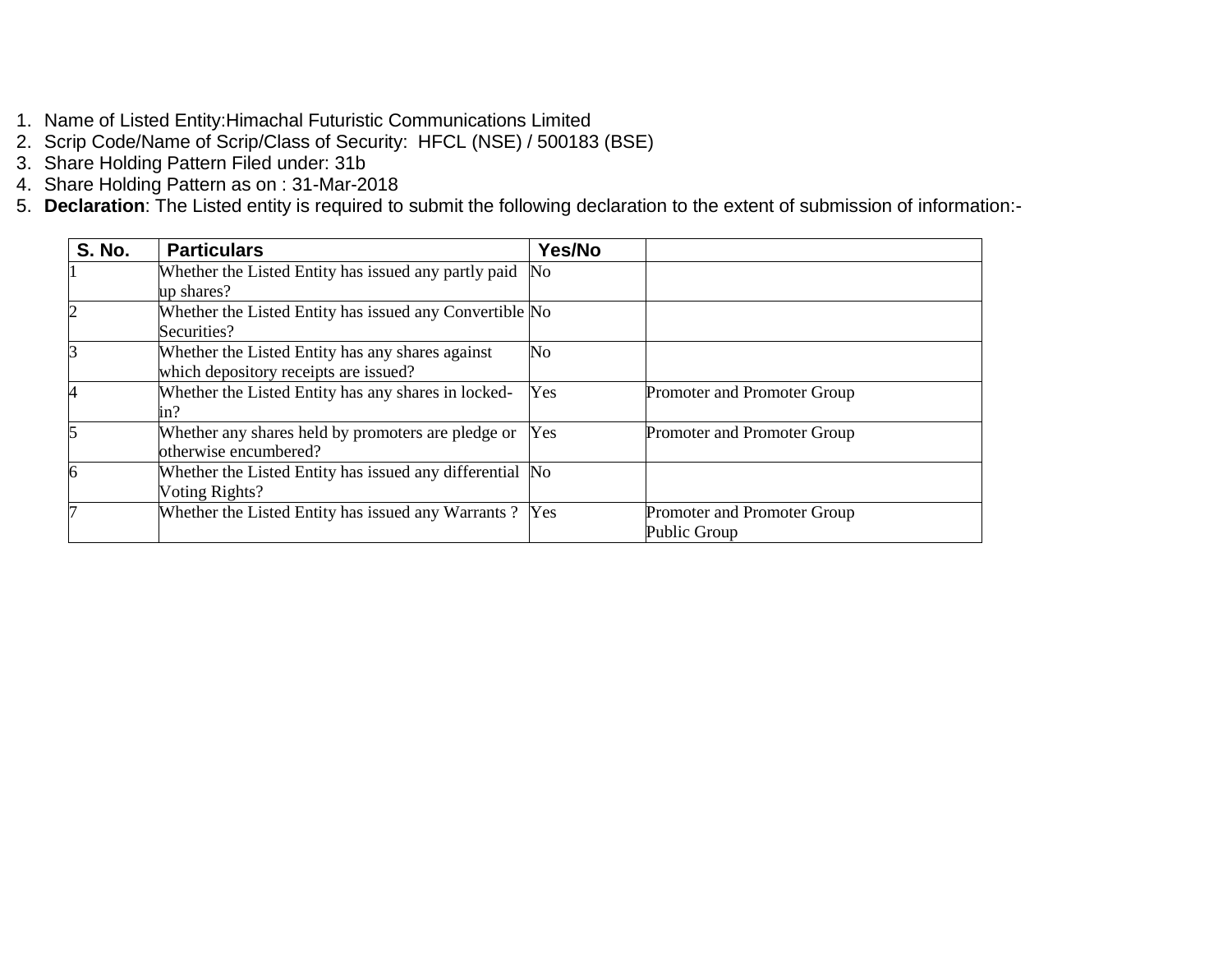- 1. Name of Listed Entity:Himachal Futuristic Communications Limited
- 2. Scrip Code/Name of Scrip/Class of Security: HFCL (NSE) / 500183 (BSE)
- 3. Share Holding Pattern Filed under: 31b
- 4. Share Holding Pattern as on : 31-Mar-2018
- 5. **Declaration**: The Listed entity is required to submit the following declaration to the extent of submission of information:-

| <b>S. No.</b>  | <b>Particulars</b>                                       | Yes/No |                             |
|----------------|----------------------------------------------------------|--------|-----------------------------|
|                | Whether the Listed Entity has issued any partly paid     | No     |                             |
|                | up shares?                                               |        |                             |
|                | Whether the Listed Entity has issued any Convertible No  |        |                             |
|                | Securities?                                              |        |                             |
|                | Whether the Listed Entity has any shares against         | No     |                             |
|                | which depository receipts are issued?                    |        |                             |
| $\overline{4}$ | Whether the Listed Entity has any shares in locked-      | Yes    | Promoter and Promoter Group |
|                | in?                                                      |        |                             |
|                | Whether any shares held by promoters are pledge or       | Yes    | Promoter and Promoter Group |
|                | otherwise encumbered?                                    |        |                             |
| 6              | Whether the Listed Entity has issued any differential No |        |                             |
|                | Voting Rights?                                           |        |                             |
|                | Whether the Listed Entity has issued any Warrants? Yes   |        | Promoter and Promoter Group |
|                |                                                          |        | Public Group                |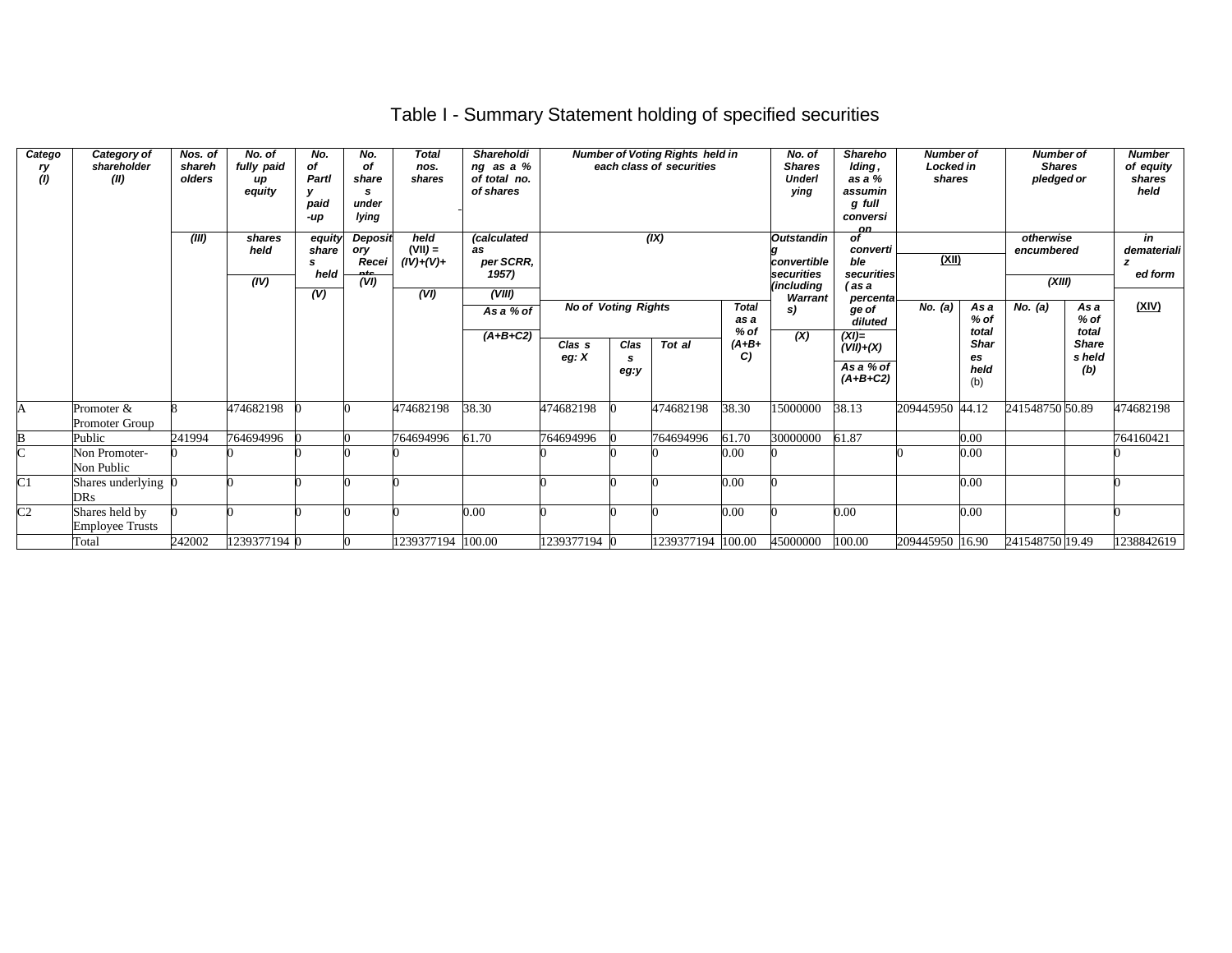# Table I - Summary Statement holding of specified securities

| Catego<br>ry<br>(1) | Category of<br>shareholder<br>(II)       | Nos. of<br>shareh<br>olders<br>(III) | No. of<br>fully paid<br>иp<br>equity<br>shares<br>held<br>(IV) | No.<br>of<br>Partl<br>paid<br>-up<br>equity<br>share<br>s.<br>held<br>(V) | No.<br>of<br>share<br>s<br>under<br>lying<br>Deposit<br>ory<br>Recei<br>nfe<br>(VI) | <b>Total</b><br>nos.<br>shares<br>held<br>$(VII) =$<br>$(IV)+(V)+$<br>(VI) | Shareholdi<br>ng as a %<br>of total no.<br>of shares<br>(calculated<br>as<br>per SCRR,<br>1957)<br>(VIII) |                              | <b>Number of Voting Rights held in</b><br>each class of securities<br>(IX)<br><b>No of Voting Rights</b><br><b>Total</b> |                   |                                 | <b>Shareho</b><br>No. of<br><b>Shares</b><br>Iding,<br>Underl<br>as a %<br>assumin<br>ying<br>g full<br>conversi<br><b>nn</b><br><b>Outstandin</b><br>of<br>converti<br>ble<br>convertible<br>securities<br>securities<br>(including<br>(as a<br>Warrant<br>percenta |                                                                       | <b>Number of</b><br>Locked in<br>shares<br>(XII) |                                                      | <b>Number of</b><br><b>Shares</b><br>pledged or<br>otherwise<br>encumbered<br>(XIII) |                                                          | <b>Number</b><br>of equity<br>shares<br>held<br>in<br>demateriali<br>z<br>ed form |
|---------------------|------------------------------------------|--------------------------------------|----------------------------------------------------------------|---------------------------------------------------------------------------|-------------------------------------------------------------------------------------|----------------------------------------------------------------------------|-----------------------------------------------------------------------------------------------------------|------------------------------|--------------------------------------------------------------------------------------------------------------------------|-------------------|---------------------------------|----------------------------------------------------------------------------------------------------------------------------------------------------------------------------------------------------------------------------------------------------------------------|-----------------------------------------------------------------------|--------------------------------------------------|------------------------------------------------------|--------------------------------------------------------------------------------------|----------------------------------------------------------|-----------------------------------------------------------------------------------|
|                     |                                          |                                      |                                                                |                                                                           |                                                                                     |                                                                            | As a % of<br>$(A+B+C2)$                                                                                   | Clas <sub>s</sub><br>eg: $X$ | Clas<br>s<br>eg:y                                                                                                        | Tot al            | as a<br>$%$ of<br>$(A+B+$<br>C) | s)<br>$\overline{(\mathsf{X})}$                                                                                                                                                                                                                                      | ge of<br>diluted<br>$(XI)=$<br>$(VII)+(X)$<br>As a % of<br>$(A+B+C2)$ | No. $(a)$                                        | As a<br>$%$ of<br>total<br>Shar<br>es<br>held<br>(b) | No. $(a)$                                                                            | As a<br>$%$ of<br>total<br><b>Share</b><br>s held<br>(b) | (XIV)                                                                             |
| A                   | Promoter &<br>Promoter Group             |                                      | 474682198                                                      |                                                                           |                                                                                     | 474682198                                                                  | 38.30                                                                                                     | 474682198                    |                                                                                                                          | 474682198         | 38.30                           | 15000000                                                                                                                                                                                                                                                             | 38.13                                                                 | 209445950                                        | 44.12                                                | 241548750 50.89                                                                      |                                                          | 474682198                                                                         |
| B                   | Public                                   | 241994                               | 764694996                                                      |                                                                           |                                                                                     | 764694996                                                                  | 61.70                                                                                                     | 764694996                    |                                                                                                                          | 764694996         | 61.70                           | 30000000                                                                                                                                                                                                                                                             | 61.87                                                                 |                                                  | 0.00                                                 |                                                                                      |                                                          | 764160421                                                                         |
| $\overline{C}$      | Non Promoter-<br>Non Public              |                                      |                                                                |                                                                           |                                                                                     |                                                                            |                                                                                                           |                              |                                                                                                                          |                   | 0.00                            |                                                                                                                                                                                                                                                                      |                                                                       |                                                  | 0.00                                                 |                                                                                      |                                                          |                                                                                   |
| $\overline{C}1$     | Shares underlying (<br><b>DRs</b>        |                                      |                                                                |                                                                           |                                                                                     |                                                                            |                                                                                                           |                              |                                                                                                                          |                   | 0.00                            |                                                                                                                                                                                                                                                                      |                                                                       |                                                  | 0.00                                                 |                                                                                      |                                                          |                                                                                   |
| $\overline{C2}$     | Shares held by<br><b>Employee Trusts</b> |                                      |                                                                |                                                                           |                                                                                     |                                                                            | 0.00                                                                                                      |                              |                                                                                                                          |                   | 0.00                            |                                                                                                                                                                                                                                                                      | 0.00                                                                  |                                                  | 0.00                                                 |                                                                                      |                                                          |                                                                                   |
|                     | Total                                    | 242002                               | 1239377194 0                                                   |                                                                           |                                                                                     | 1239377194                                                                 | 100.00                                                                                                    | 1239377194 0                 |                                                                                                                          | 1239377194 100.00 |                                 | 45000000                                                                                                                                                                                                                                                             | 100.00                                                                | 209445950 16.90                                  |                                                      | 241548750 19.49                                                                      |                                                          | 1238842619                                                                        |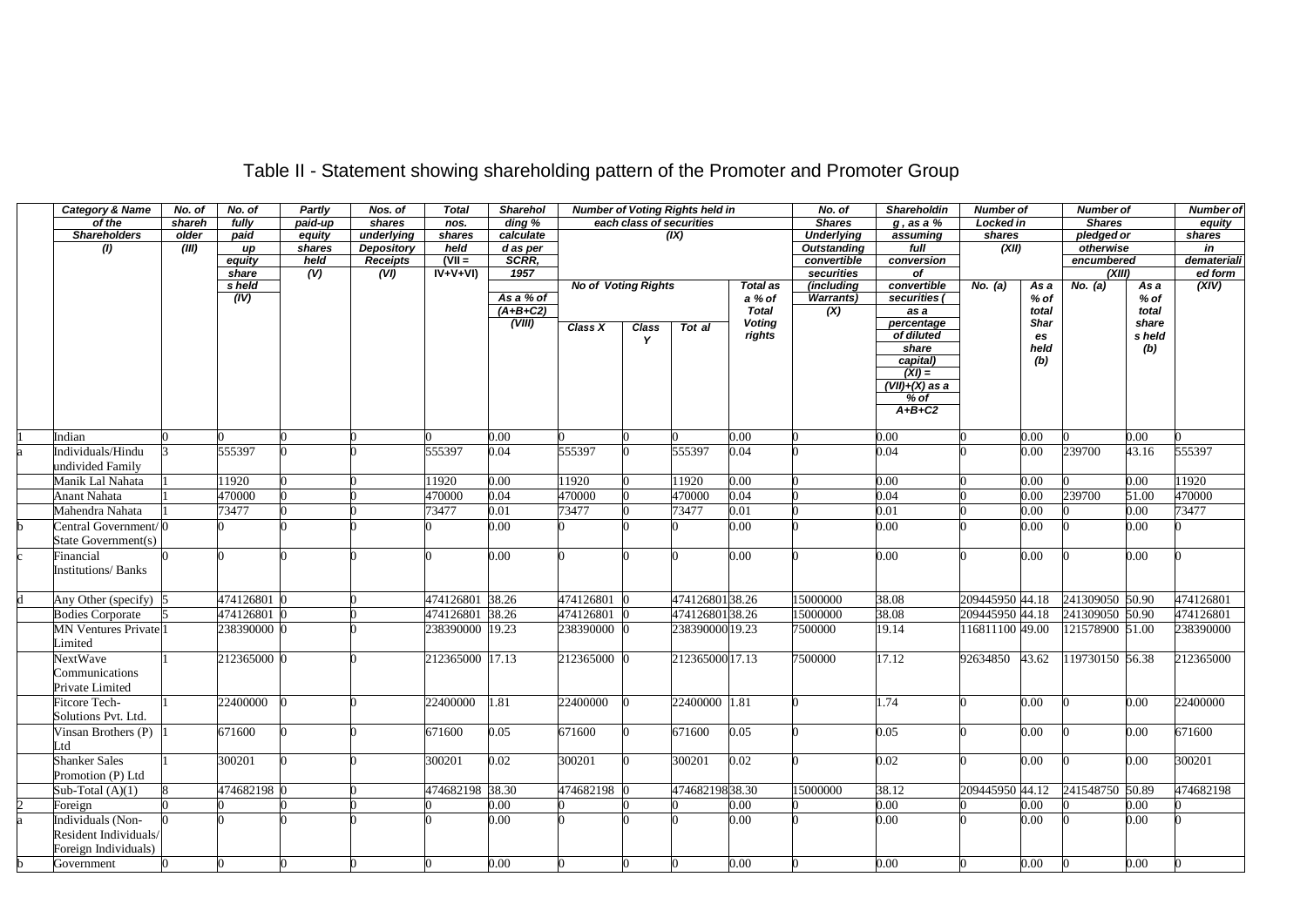# Table II - Statement showing shareholding pattern of the Promoter and Promoter Group

|   | <b>Category &amp; Name</b>              | No. of | No. of          | <b>Partly</b> | Nos. of           | <b>Total</b>    | Sharehol                |                            |                          | Number of Voting Rights held in |                        | No. of             | Shareholdin        | <b>Number of</b> |                 | Number of       |                 | <b>Number of</b> |
|---|-----------------------------------------|--------|-----------------|---------------|-------------------|-----------------|-------------------------|----------------------------|--------------------------|---------------------------------|------------------------|--------------------|--------------------|------------------|-----------------|-----------------|-----------------|------------------|
|   | of the                                  | shareh | fully           | paid-up       | shares            | nos.            | ding %                  |                            | each class of securities |                                 |                        | <b>Shares</b>      | $g$ , as a $%$     | Locked in        |                 | <b>Shares</b>   |                 | equity           |
|   | <b>Shareholders</b>                     | older  | paid            | equity        | underlying        | shares          | calculate               |                            |                          | (IX)                            |                        | <b>Underlying</b>  | assuming           | shares           |                 | pledged or      |                 | shares           |
|   | (1)                                     | (III)  | $\overline{up}$ | shares        | <b>Depository</b> | held            | d as per                |                            |                          |                                 |                        | <b>Outstanding</b> | full               | (XII)            |                 | otherwise       |                 | in               |
|   |                                         |        | equity          | held          | <b>Receipts</b>   | $(VII =$        | SCRR,                   |                            |                          |                                 |                        | convertible        | conversion         |                  |                 | encumbered      |                 | demateriali      |
|   |                                         |        | share           | (V)           | (VI)              | $IV+V+VI$       | 1957                    |                            |                          |                                 |                        | securities         | of                 |                  |                 | (XIII)          |                 | ed form          |
|   |                                         |        | s held          |               |                   |                 |                         | <b>No of Voting Rights</b> |                          |                                 | Total as               | (including         | convertible        | No. (a)          | Asa             | No. (a)         | As a            | (XIV)            |
|   |                                         |        | (IV)            |               |                   |                 | As a % of<br>$(A+B+C2)$ |                            |                          |                                 | a % of<br><b>Total</b> | <b>Warrants)</b>   | securities (       |                  | $%$ of<br>total |                 | $%$ of<br>total |                  |
|   |                                         |        |                 |               |                   |                 | (VIII)                  |                            |                          |                                 | <b>Voting</b>          | (X)                | as a<br>percentage |                  | Shar            |                 | share           |                  |
|   |                                         |        |                 |               |                   |                 |                         | Class X                    | Class                    | Tot al                          | rights                 |                    | of diluted         |                  | es              |                 | s held          |                  |
|   |                                         |        |                 |               |                   |                 |                         |                            | Y                        |                                 |                        |                    | share              |                  | held            |                 | (b)             |                  |
|   |                                         |        |                 |               |                   |                 |                         |                            |                          |                                 |                        |                    | capital)           |                  | (b)             |                 |                 |                  |
|   |                                         |        |                 |               |                   |                 |                         |                            |                          |                                 |                        |                    | $(XI) =$           |                  |                 |                 |                 |                  |
|   |                                         |        |                 |               |                   |                 |                         |                            |                          |                                 |                        |                    | $(VII)+(X)$ as a   |                  |                 |                 |                 |                  |
|   |                                         |        |                 |               |                   |                 |                         |                            |                          |                                 |                        |                    | % of               |                  |                 |                 |                 |                  |
|   |                                         |        |                 |               |                   |                 |                         |                            |                          |                                 |                        |                    | $A+B+C2$           |                  |                 |                 |                 |                  |
|   |                                         |        |                 |               |                   |                 |                         |                            |                          |                                 |                        |                    |                    |                  |                 |                 |                 |                  |
|   | Indian                                  |        |                 |               |                   |                 | 0.00                    |                            |                          |                                 | 0.00                   |                    | 0.00               |                  | 0.00            |                 | 0.00            |                  |
|   | Individuals/Hindu                       |        | 555397          |               |                   | 555397          | 0.04                    | 555397                     |                          | 555397                          | 0.04                   |                    | 0.04               |                  | $0.00\,$        | 239700          | 43.16           | 555397           |
|   | undivided Family                        |        |                 |               |                   |                 |                         |                            |                          |                                 |                        |                    |                    |                  |                 |                 |                 |                  |
|   | Manik Lal Nahata                        |        | 11920           |               |                   | 11920           | 0.00                    | 11920                      |                          | 11920                           | 0.00                   |                    | 0.00               |                  | 0.00            |                 | 0.00            | 11920            |
|   | Anant Nahata                            |        | 470000          |               |                   | 470000          | 0.04                    | 470000                     |                          | 470000                          | 0.04                   |                    | 0.04               |                  | 0.00            | 239700          | 51.00           | 470000           |
|   | Mahendra Nahata                         |        | 73477           |               |                   | 73477           | 0.01                    | 73477                      |                          | 73477                           | 0.01                   |                    | 0.01               |                  | 0.00            |                 | 0.00            | 73477            |
|   | Central Government/ (                   |        |                 |               |                   |                 | 0.00                    |                            |                          |                                 | 0.00                   |                    | 0.00               |                  | 0.001           |                 | 0.00            |                  |
|   | State Government(s)                     |        |                 |               |                   |                 |                         |                            |                          |                                 |                        |                    |                    |                  |                 |                 |                 |                  |
|   | Financial                               |        |                 |               |                   |                 | $0.00\,$                |                            |                          |                                 | 0.00                   |                    | 0.00               |                  | 0.00            |                 | 0.00            |                  |
|   | <b>Institutions/Banks</b>               |        |                 |               |                   |                 |                         |                            |                          |                                 |                        |                    |                    |                  |                 |                 |                 |                  |
|   |                                         |        |                 |               |                   |                 |                         |                            |                          |                                 |                        |                    |                    |                  |                 |                 |                 |                  |
|   | Any Other (specify) 5                   |        | 474126801 0     |               |                   | 474126801 38.26 |                         | 474126801                  |                          | 47412680138.26                  |                        | 15000000           | 38.08              | 209445950 44.18  |                 | 241309050 50.90 |                 | 474126801        |
|   | <b>Bodies Corporate</b>                 |        | 474126801       |               |                   | 474126801 38.26 |                         | 474126801                  |                          | 47412680138.26                  |                        | 15000000           | 38.08              | 209445950 44.18  |                 | 241309050 50.90 |                 | 474126801        |
|   | <b>MN Ventures Private</b> <sup>1</sup> |        | 238390000 0     |               |                   | 238390000 19.23 |                         | 238390000                  |                          | 238390000 19.23                 |                        | 7500000            | 19.14              | 116811100 49.00  |                 | 121578900 51.00 |                 | 238390000        |
|   | Limited                                 |        |                 |               |                   |                 |                         |                            |                          |                                 |                        |                    |                    |                  |                 |                 |                 |                  |
|   | <b>NextWave</b>                         |        | 212365000 0     |               |                   | 212365000 17.13 |                         | 212365000                  |                          | 212365000 17.13                 |                        | 7500000            | 17.12              | 92634850         | 43.62           | 119730150 56.38 |                 | 212365000        |
|   | Communications                          |        |                 |               |                   |                 |                         |                            |                          |                                 |                        |                    |                    |                  |                 |                 |                 |                  |
|   |                                         |        |                 |               |                   |                 |                         |                            |                          |                                 |                        |                    |                    |                  |                 |                 |                 |                  |
|   | Private Limited                         |        |                 |               |                   |                 |                         |                            |                          |                                 |                        |                    |                    |                  |                 |                 |                 |                  |
|   | <b>Fitcore Tech-</b>                    |        | 22400000        |               |                   | 22400000        | 1.81                    | 22400000                   |                          | 22400000 1.81                   |                        |                    | 1.74               |                  | 0.00            |                 | 0.00            | 22400000         |
|   | Solutions Pvt. Ltd.                     |        |                 |               |                   |                 |                         |                            |                          |                                 |                        |                    |                    |                  |                 |                 |                 |                  |
|   | Vinsan Brothers $(P)$                   |        | 671600          |               |                   | 671600          | 0.05                    | 671600                     |                          | 671600                          | 0.05                   |                    | 0.05               |                  | 0.00            |                 | 0.00            | 671600           |
|   | ∟td                                     |        |                 |               |                   |                 |                         |                            |                          |                                 |                        |                    |                    |                  |                 |                 |                 |                  |
|   | <b>Shanker Sales</b>                    |        | 300201          |               |                   | 300201          | 0.02                    | 300201                     |                          | 300201                          | 0.02                   |                    | 0.02               |                  | 0.00            |                 | 0.00            | 300201           |
|   | Promotion (P) Ltd                       |        |                 |               |                   |                 |                         |                            |                          |                                 |                        |                    |                    |                  |                 |                 |                 |                  |
|   | Sub-Total $(A)(1)$                      |        | 474682198 0     |               |                   | 474682198 38.30 |                         | 474682198                  |                          | 47468219838.30                  |                        | 15000000           | 38.12              | 209445950 44.12  |                 | 241548750       | 50.89           | 474682198        |
|   | Foreign                                 |        |                 |               |                   |                 | 0.00                    |                            |                          |                                 | 0.00                   |                    | 0.00               |                  | 0.001           |                 | 0.00            |                  |
|   | Individuals (Non-                       |        |                 |               |                   |                 | 0.00                    |                            |                          |                                 | 0.00                   |                    | 0.00               |                  | 0.00            |                 | 0.001           |                  |
|   | Resident Individuals/                   |        |                 |               |                   |                 |                         |                            |                          |                                 |                        |                    |                    |                  |                 |                 |                 |                  |
|   | Foreign Individuals)                    |        |                 |               |                   |                 |                         |                            |                          |                                 |                        |                    |                    |                  |                 |                 |                 |                  |
| h | Government                              |        |                 |               |                   |                 | 0.00                    |                            |                          |                                 | 0.00                   |                    | 0.00               |                  | 0.00            |                 | 0.00            |                  |
|   |                                         |        |                 |               |                   |                 |                         |                            |                          |                                 |                        |                    |                    |                  |                 |                 |                 |                  |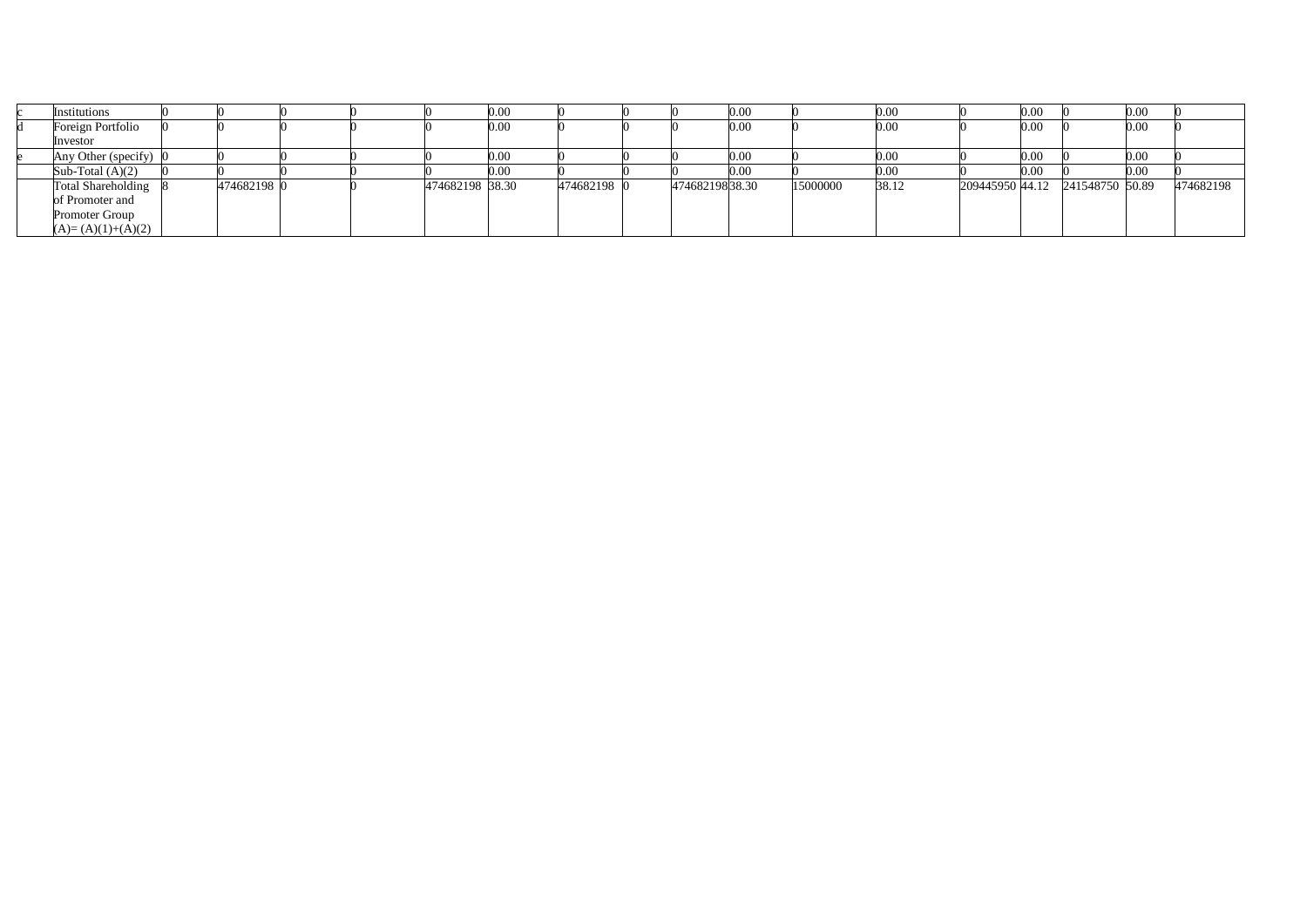| Institutions              |             |  |                 | 0.00 |             |                | 0.00     |          | 0.00  |                 | 0.00 |                 | 0.00 |           |
|---------------------------|-------------|--|-----------------|------|-------------|----------------|----------|----------|-------|-----------------|------|-----------------|------|-----------|
| Foreign Portfolio         |             |  |                 | 0.00 |             |                | 0.00     |          | 0.00  |                 | 0.00 |                 | 0.00 |           |
| Investor                  |             |  |                 |      |             |                |          |          |       |                 |      |                 |      |           |
| Any Other (specify) 0     |             |  |                 | 0.00 |             |                | 0.00     |          | 0.00  |                 | 0.00 |                 | 0.00 |           |
| Sub-Total $(A)(2)$        |             |  |                 | 0.00 |             |                | $0.00\,$ |          | 0.00  |                 | 0.00 |                 | 0.00 |           |
| <b>Total Shareholding</b> | 474682198 0 |  | 474682198 38.30 |      | 474682198 0 | 47468219838.30 |          | 15000000 | 38.12 | 209445950 44.12 |      | 241548750 50.89 |      | 474682198 |
| of Promoter and           |             |  |                 |      |             |                |          |          |       |                 |      |                 |      |           |
| Promoter Group            |             |  |                 |      |             |                |          |          |       |                 |      |                 |      |           |
| $(A)=(A)(1)+(A)(2)$       |             |  |                 |      |             |                |          |          |       |                 |      |                 |      |           |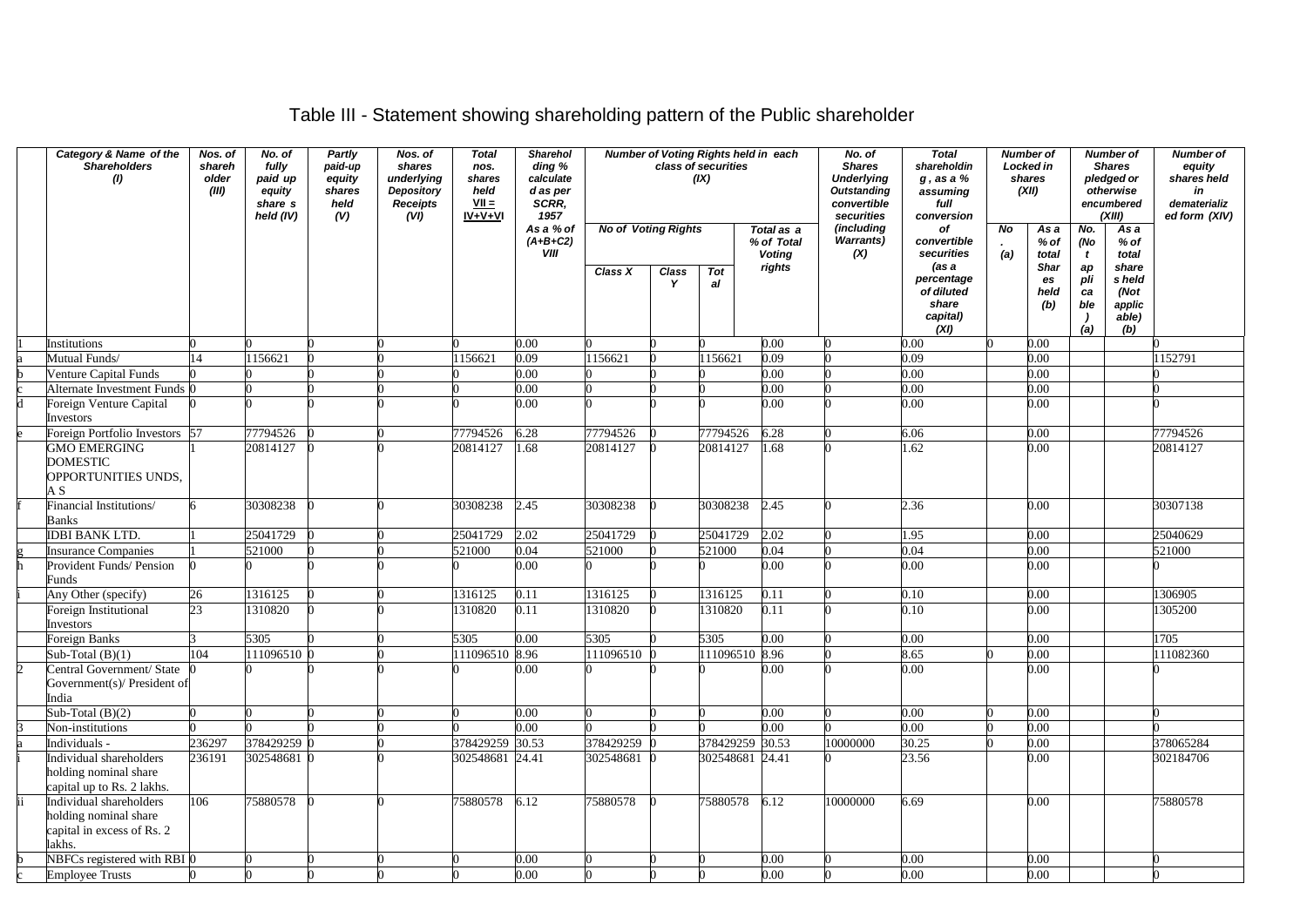## Table III - Statement showing shareholding pattern of the Public shareholder

|   | Category & Name of the<br><b>Shareholders</b><br>(1)                                     | Nos. of<br>shareh<br>older<br>(III) | No. of<br>fully<br>paid up<br>equity<br>share s<br>held (IV) | Partly<br>paid-up<br>equity<br>shares<br>held<br>(V) | Nos. of<br>shares<br>underlying<br><b>Depository</b><br><b>Receipts</b><br>(VI) | <b>Total</b><br>nos.<br>shares<br>held<br>$VII =$<br>$IV + V + VI$ | <b>Sharehol</b><br>ding %<br>calculate<br>d as per<br>SCRR.<br>1957 |                            |                   | Number of Voting Rights held in each<br>class of securities<br>(IX) |                                           | No. of<br><b>Shares</b><br><b>Underlying</b><br><b>Outstanding</b><br>convertible<br>securities | <b>Total</b><br>shareholdin<br>$g$ , as a $%$<br>assuming<br>full<br>conversion | <b>Number of</b><br>Locked in<br>shares<br>(XII) |                                  | <b>Number of</b><br><b>Shares</b><br>pledged or<br>otherwise<br>encumbered<br>(XIII) |                                                   | <b>Number of</b><br>equity<br>shares held<br>in<br>dematerializ<br>ed form (XIV) |
|---|------------------------------------------------------------------------------------------|-------------------------------------|--------------------------------------------------------------|------------------------------------------------------|---------------------------------------------------------------------------------|--------------------------------------------------------------------|---------------------------------------------------------------------|----------------------------|-------------------|---------------------------------------------------------------------|-------------------------------------------|-------------------------------------------------------------------------------------------------|---------------------------------------------------------------------------------|--------------------------------------------------|----------------------------------|--------------------------------------------------------------------------------------|---------------------------------------------------|----------------------------------------------------------------------------------|
|   |                                                                                          |                                     |                                                              |                                                      |                                                                                 |                                                                    | As a % of<br>$(A+B+C2)$<br><b>VIII</b>                              | <b>No of Voting Rights</b> |                   |                                                                     | Total as a<br>% of Total<br><b>Voting</b> | (including<br><b>Warrants)</b><br>(X)                                                           | of<br>convertible<br>securities                                                 | No<br>(a)                                        | As a<br>% of<br>total            | No.<br>(No<br>$\mathbf{t}$                                                           | As a<br>$%$ of<br>total                           |                                                                                  |
|   |                                                                                          |                                     |                                                              |                                                      |                                                                                 |                                                                    |                                                                     | Class X                    | <b>Class</b><br>Y | <b>Tot</b><br>al                                                    | rights                                    |                                                                                                 | (as a<br>percentage<br>of diluted<br>share<br>capital)<br>(XI)                  |                                                  | <b>Shar</b><br>es<br>held<br>(b) | ap<br>pli<br>ca<br>ble<br>- 1<br>(a)                                                 | share<br>s held<br>(Not<br>applic<br>able)<br>(b) |                                                                                  |
|   | Institutions                                                                             |                                     |                                                              |                                                      |                                                                                 |                                                                    | 0.00                                                                |                            |                   |                                                                     | 0.00                                      |                                                                                                 | 0.00                                                                            |                                                  | 0.00                             |                                                                                      |                                                   |                                                                                  |
|   | Mutual Funds/                                                                            | 14                                  | 156621                                                       |                                                      |                                                                                 | 1156621                                                            | 0.09                                                                | 1156621                    |                   | 1156621                                                             | 0.09                                      |                                                                                                 | 0.09                                                                            |                                                  | 0.00                             |                                                                                      |                                                   | 1152791                                                                          |
|   | Venture Capital Funds                                                                    |                                     |                                                              |                                                      |                                                                                 |                                                                    | 0.00                                                                |                            |                   |                                                                     | 0.00                                      |                                                                                                 | 0.00                                                                            |                                                  | 0.00                             |                                                                                      |                                                   |                                                                                  |
|   | Alternate Investment Funds 0                                                             |                                     |                                                              |                                                      |                                                                                 |                                                                    | 0.00                                                                |                            |                   |                                                                     | 0.00                                      |                                                                                                 | 0.00                                                                            |                                                  | 0.00                             |                                                                                      |                                                   |                                                                                  |
|   | Foreign Venture Capital<br>Investors                                                     |                                     |                                                              |                                                      |                                                                                 |                                                                    | 0.00                                                                |                            |                   |                                                                     | 0.00                                      |                                                                                                 | 0.00                                                                            |                                                  | 0.00                             |                                                                                      |                                                   |                                                                                  |
|   | Foreign Portfolio Investors                                                              | 57                                  | 77794526                                                     |                                                      |                                                                                 | 77794526                                                           | 6.28                                                                | 77794526                   |                   | 77794526                                                            | 6.28                                      |                                                                                                 | 6.06                                                                            |                                                  | 0.00                             |                                                                                      |                                                   | 77794526                                                                         |
|   | <b>GMO EMERGING</b><br><b>DOMESTIC</b><br>OPPORTUNITIES UNDS,<br>ΑS                      |                                     | 20814127                                                     |                                                      |                                                                                 | 20814127                                                           | 1.68                                                                | 20814127                   |                   | 20814127                                                            | .68                                       |                                                                                                 | .62                                                                             |                                                  | 0.00                             |                                                                                      |                                                   | 20814127                                                                         |
|   | Financial Institutions/<br>Banks                                                         |                                     | 30308238                                                     |                                                      |                                                                                 | 30308238                                                           | 2.45                                                                | 30308238                   |                   | 30308238                                                            | 2.45                                      |                                                                                                 | 2.36                                                                            |                                                  | 0.00                             |                                                                                      |                                                   | 30307138                                                                         |
|   | <b>IDBI BANK LTD.</b>                                                                    |                                     | 25041729                                                     |                                                      |                                                                                 | 25041729                                                           | 2.02                                                                | 25041729                   |                   | 25041729                                                            | $\overline{2.02}$                         |                                                                                                 | 1.95                                                                            |                                                  | 0.00                             |                                                                                      |                                                   | 25040629                                                                         |
|   | <b>Insurance Companies</b>                                                               |                                     | 521000                                                       |                                                      |                                                                                 | 521000                                                             | 0.04                                                                | 521000                     |                   | 521000                                                              | 0.04                                      |                                                                                                 | 0.04                                                                            |                                                  | 0.00                             |                                                                                      |                                                   | 521000                                                                           |
|   | Provident Funds/ Pension<br>Funds                                                        |                                     |                                                              |                                                      |                                                                                 |                                                                    | 0.00                                                                |                            |                   |                                                                     | 0.00                                      |                                                                                                 | $0.00\,$                                                                        |                                                  | 0.00                             |                                                                                      |                                                   |                                                                                  |
|   | Any Other (specify)                                                                      | 26                                  | 1316125                                                      |                                                      |                                                                                 | 1316125                                                            | 0.11                                                                | 1316125                    |                   | 1316125                                                             | 0.11                                      |                                                                                                 | 0.10                                                                            |                                                  | 0.00                             |                                                                                      |                                                   | 1306905                                                                          |
|   | Foreign Institutional<br>Investors                                                       | 23                                  | 310820                                                       |                                                      |                                                                                 | 1310820                                                            | 0.11                                                                | 1310820                    |                   | 1310820                                                             | 0.11                                      |                                                                                                 | 0.10                                                                            |                                                  | 0.00                             |                                                                                      |                                                   | 1305200                                                                          |
|   | Foreign Banks                                                                            |                                     | 5305                                                         |                                                      |                                                                                 | 5305                                                               | 0.00                                                                | 5305                       |                   | 5305                                                                | $\overline{0.00}$                         |                                                                                                 | 0.00                                                                            |                                                  | 0.00                             |                                                                                      |                                                   | 1705                                                                             |
|   | Sub-Total $(B)(1)$                                                                       | 104                                 | 111096510 0                                                  |                                                      |                                                                                 | 111096510 8.96                                                     |                                                                     | 111096510                  |                   | 111096510                                                           | 8.96                                      |                                                                                                 | 8.65                                                                            |                                                  | 0.00                             |                                                                                      |                                                   | 111082360                                                                        |
| D | Central Government/ State<br>Government(s)/ President of<br>India                        |                                     |                                                              |                                                      |                                                                                 |                                                                    | 0.00                                                                |                            |                   |                                                                     | 0.00                                      |                                                                                                 | 0.00                                                                            |                                                  | 0.00                             |                                                                                      |                                                   |                                                                                  |
|   | Sub-Total $(B)(2)$                                                                       |                                     |                                                              |                                                      |                                                                                 |                                                                    | 0.00                                                                |                            |                   |                                                                     | 0.00                                      |                                                                                                 | 0.00                                                                            |                                                  | 0.00                             |                                                                                      |                                                   |                                                                                  |
|   | Non-institutions                                                                         |                                     |                                                              |                                                      |                                                                                 |                                                                    | 0.00                                                                |                            |                   |                                                                     | 0.00                                      |                                                                                                 | 0.00                                                                            |                                                  | 0.00                             |                                                                                      |                                                   |                                                                                  |
|   | Individuals -                                                                            | 236297                              | 378429259 0                                                  |                                                      |                                                                                 | 378429259 30.53                                                    |                                                                     | 378429259                  |                   | 378429259                                                           | 30.53                                     | 10000000                                                                                        | 30.25                                                                           |                                                  | 0.00                             |                                                                                      |                                                   | 378065284                                                                        |
|   | Individual shareholders<br>holding nominal share<br>capital up to Rs. 2 lakhs.           | 236191                              | 302548681 0                                                  |                                                      |                                                                                 | 302548681 24.41                                                    |                                                                     | 302548681                  |                   | 302548681                                                           | 24.41                                     |                                                                                                 | 23.56                                                                           |                                                  | 0.00                             |                                                                                      |                                                   | 302184706                                                                        |
|   | Individual shareholders<br>holding nominal share<br>capital in excess of Rs. 2<br>lakhs. | 106                                 | 75880578                                                     |                                                      |                                                                                 | 75880578                                                           | 6.12                                                                | 75880578                   |                   | 75880578                                                            | 6.12                                      | 10000000                                                                                        | 6.69                                                                            |                                                  | 0.00                             |                                                                                      |                                                   | 75880578                                                                         |
|   | NBFCs registered with RBI 0                                                              |                                     |                                                              |                                                      |                                                                                 |                                                                    | 0.00                                                                |                            |                   |                                                                     | 0.00                                      |                                                                                                 | 0.00                                                                            |                                                  | 0.00                             |                                                                                      |                                                   |                                                                                  |
|   | <b>Employee Trusts</b>                                                                   |                                     |                                                              |                                                      |                                                                                 |                                                                    | 0.00                                                                |                            |                   |                                                                     | 0.00                                      |                                                                                                 | 0.00                                                                            |                                                  | 0.00                             |                                                                                      |                                                   |                                                                                  |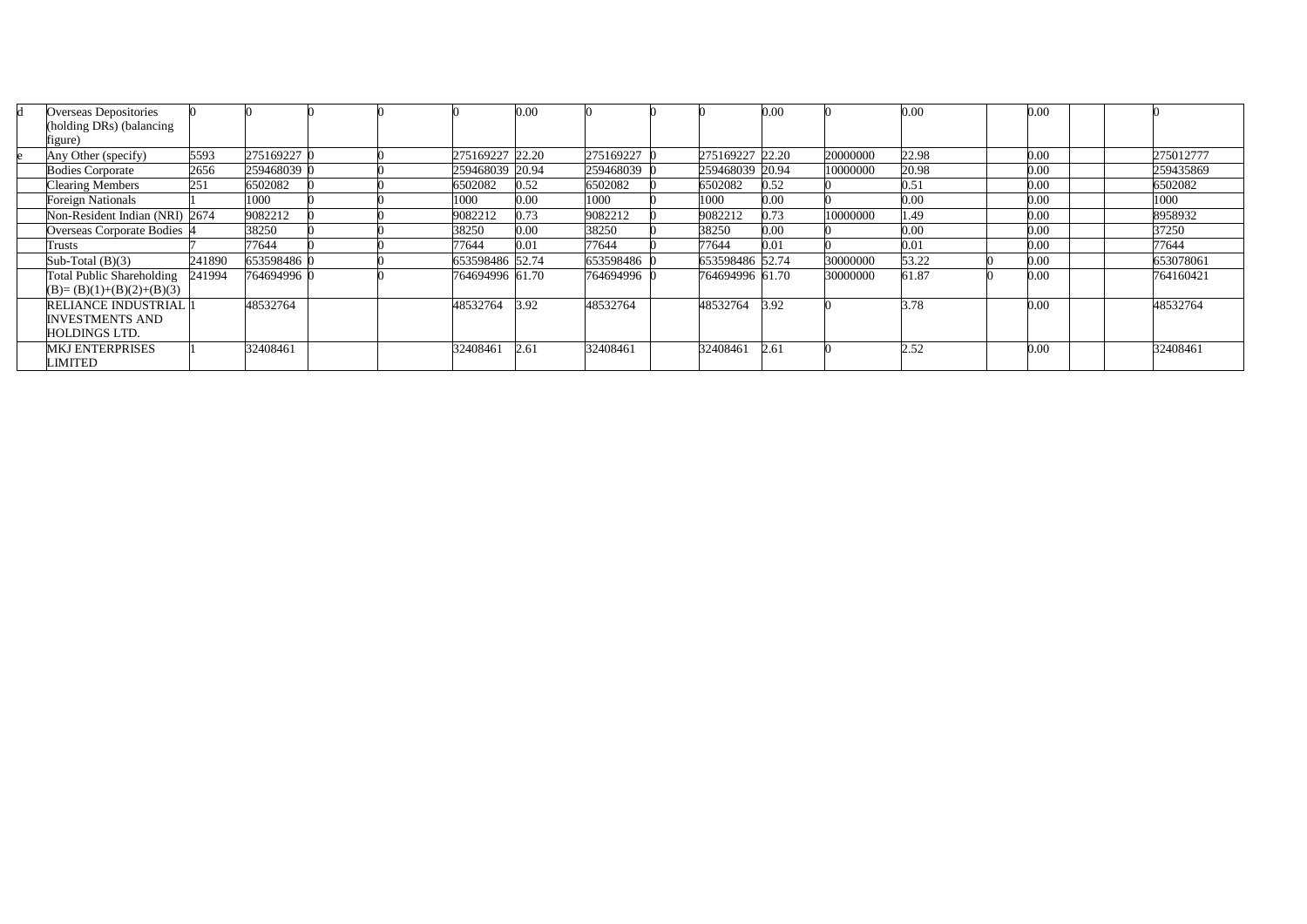| Overseas Depositories            |        |             |  |                 | 0.00 |             |                 | 0.00     |          | 0.00  | 0.00 |           |
|----------------------------------|--------|-------------|--|-----------------|------|-------------|-----------------|----------|----------|-------|------|-----------|
| (holding DRs) (balancing         |        |             |  |                 |      |             |                 |          |          |       |      |           |
| figure)                          |        |             |  |                 |      |             |                 |          |          |       |      |           |
| Any Other (specify)              | 5593   | 275169227 0 |  | 275169227 22.20 |      | 275169227   | 275169227 22.20 |          | 20000000 | 22.98 | 0.00 | 275012777 |
| <b>Bodies Corporate</b>          | 2656   | 259468039 0 |  | 259468039 20.94 |      | 259468039 0 | 259468039 20.94 |          | 10000000 | 20.98 | 0.00 | 259435869 |
| <b>Clearing Members</b>          | 251    | 6502082     |  | 6502082         | 0.52 | 6502082     | 6502082         | 0.52     |          | 0.51  | 0.00 | 6502082   |
| <b>Foreign Nationals</b>         |        | 1000        |  | 1000            | 0.00 | 1000        | 1000            | 0.00     |          | 0.00  | 0.00 | 1000      |
| Non-Resident Indian (NRI) 2674   |        | 9082212     |  | 9082212         | 0.73 | 9082212     | 9082212         | 0.73     | 10000000 | 1.49  | 0.00 | 8958932   |
| Overseas Corporate Bodies        |        | 38250       |  | 38250           | 0.00 | 38250       | 38250           | $0.00\,$ |          | 0.00  | 0.00 | 37250     |
| Trusts                           |        | 77644       |  | 77644           | 0.01 | 77644       | 77644           | 0.01     |          | 0.01  | 0.00 | 77644     |
| Sub-Total $(B)(3)$               | 241890 | 653598486 0 |  | 653598486 52.74 |      | 653598486 0 | 653598486 52.74 |          | 30000000 | 53.22 | 0.00 | 653078061 |
| <b>Total Public Shareholding</b> | 241994 | 764694996 0 |  | 764694996 61.70 |      | 764694996 0 | 764694996 61.70 |          | 30000000 | 61.87 | 0.00 | 764160421 |
| $(B)=(B)(1)+(B)(2)+(B)(3)$       |        |             |  |                 |      |             |                 |          |          |       |      |           |
| <b>RELIANCE INDUSTRIAL 1</b>     |        | 48532764    |  | 48532764        | 3.92 | 48532764    | 48532764        | 3.92     |          | 3.78  | 0.00 | 48532764  |
| <b>INVESTMENTS AND</b>           |        |             |  |                 |      |             |                 |          |          |       |      |           |
| <b>HOLDINGS LTD.</b>             |        |             |  |                 |      |             |                 |          |          |       |      |           |
| <b>MKJ ENTERPRISES</b>           |        | 32408461    |  | 32408461        | 2.61 | 32408461    | 32408461        | 2.61     |          | 2.52  | 0.00 | 32408461  |
| LIMITED                          |        |             |  |                 |      |             |                 |          |          |       |      |           |